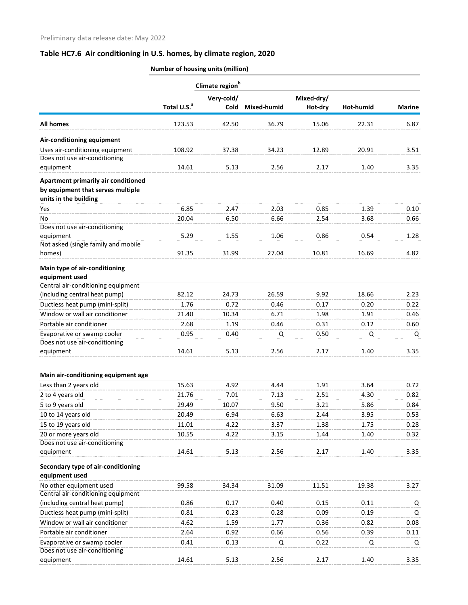|                                                                                                   | Number of housing units (million) |                             |                    |                       |           |               |
|---------------------------------------------------------------------------------------------------|-----------------------------------|-----------------------------|--------------------|-----------------------|-----------|---------------|
|                                                                                                   |                                   | Climate region <sup>b</sup> |                    |                       |           |               |
|                                                                                                   | Total U.S. <sup>a</sup>           | Very-cold/<br><b>Cold</b>   | <b>Mixed-humid</b> | Mixed-dry/<br>Hot-dry | Hot-humid | <b>Marine</b> |
| <b>All homes</b>                                                                                  | 123.53                            | 42.50                       | 36.79              | 15.06                 | 22.31     | 6.87          |
| Air-conditioning equipment                                                                        |                                   |                             |                    |                       |           |               |
| Uses air-conditioning equipment                                                                   | 108.92                            | 37.38                       | 34.23              | 12.89                 | 20.91     | 3.51          |
| Does not use air-conditioning<br>equipment                                                        | 14.61                             | 5.13                        | 2.56               | 2.17                  | 1.40      | 3.35          |
| Apartment primarily air conditioned<br>by equipment that serves multiple<br>units in the building |                                   |                             |                    |                       |           |               |
| Yes                                                                                               | 6.85                              | 2.47                        | 2.03               | 0.85                  | 1.39      | 0.10          |
| No                                                                                                | 20.04                             | 6.50                        | 6.66               | 2.54                  | 3.68      | 0.66          |
| Does not use air-conditioning                                                                     |                                   |                             |                    |                       |           |               |
| equipment                                                                                         | 5.29                              | 1.55                        | 1.06               | 0.86                  | 0.54      | 1.28          |
| Not asked (single family and mobile<br>homes)                                                     | 91.35                             | 31.99                       | 27.04              | 10.81                 | 16.69     | 4.82          |
| Main type of air-conditioning                                                                     |                                   |                             |                    |                       |           |               |
| equipment used                                                                                    |                                   |                             |                    |                       |           |               |
| Central air-conditioning equipment<br>(including central heat pump)                               | 82.12                             | 24.73                       | 26.59              | 9.92                  | 18.66     | 2.23          |
| Ductless heat pump (mini-split)                                                                   | 1.76                              | 0.72                        | 0.46               | 0.17                  | 0.20      | 0.22          |
| Window or wall air conditioner                                                                    | 21.40                             | 10.34                       | 6.71               | 1.98                  | 1.91      | 0.46          |
| Portable air conditioner                                                                          | 2.68                              | 1.19                        | 0.46               | 0.31                  | 0.12      | 0.60          |
| Evaporative or swamp cooler                                                                       | 0.95                              | 0.40                        | Q                  | 0.50                  | Q         | Q             |
| Does not use air-conditioning                                                                     |                                   |                             |                    |                       |           |               |
| equipment                                                                                         | 14.61                             | 5.13                        | 2.56               | 2.17                  | 1.40      | 3.35          |
| Main air-conditioning equipment age                                                               |                                   |                             |                    |                       |           |               |
| Less than 2 years old                                                                             | 15.63                             | 4.92                        | 4.44               | 1.91                  | 3.64      | 0.72          |
| 2 to 4 years old                                                                                  | 21.76                             | 7.01                        | 7.13               | 2.51                  | 4.30      | 0.82          |
| 5 to 9 years old                                                                                  | 29.49                             | 10.07                       | 9.50               | 3.21                  | 5.86      | 0.84          |
| 10 to 14 years old                                                                                | 20.49                             | 6.94                        | 6.63               | 2.44                  | 3.95      | 0.53          |
| 15 to 19 years old                                                                                | 11.01                             | 4.22                        | 3.37               | 1.38                  | 1.75      | 0.28          |
| 20 or more years old                                                                              | 10.55                             | 4.22                        | 3.15               | 1.44                  | 1.40      | 0.32          |
| Does not use air-conditioning<br>equipment                                                        | 14.61                             | 5.13                        | 2.56               | 2.17                  | 1.40      | 3.35          |
| Secondary type of air-conditioning                                                                |                                   |                             |                    |                       |           |               |
| equipment used                                                                                    |                                   |                             |                    |                       |           |               |
| No other equipment used<br>Central air-conditioning equipment                                     | 99.58                             | 34.34                       | 31.09              | 11.51                 | 19.38     | 3.27          |
| (including central heat pump)                                                                     | 0.86                              | 0.17                        | 0.40               | 0.15                  | 0.11      | Q             |
| Ductless heat pump (mini-split)                                                                   | 0.81                              | 0.23                        | 0.28               | 0.09                  | 0.19      | Q             |
| Window or wall air conditioner                                                                    | 4.62                              | 1.59                        | 1.77               | 0.36                  | 0.82      | 0.08          |
| Portable air conditioner                                                                          | 2.64                              | 0.92                        | 0.66               | 0.56                  | 0.39      | 0.11          |
| Evaporative or swamp cooler<br>Does not use air-conditioning                                      | 0.41                              | 0.13                        | Q                  | 0.22                  | Q         | Q             |
| equipment                                                                                         | 14.61                             | 5.13                        | 2.56               | 2.17                  | 1.40      | 3.35          |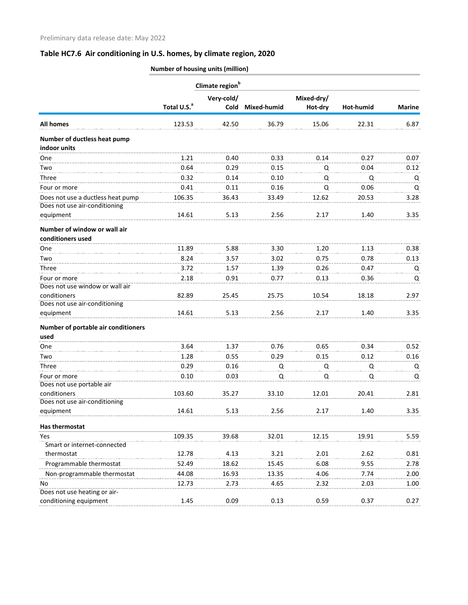|                                               | Climate region <sup>b</sup> |            |                  |            |           |               |  |  |
|-----------------------------------------------|-----------------------------|------------|------------------|------------|-----------|---------------|--|--|
|                                               |                             | Very-cold/ |                  | Mixed-dry/ |           |               |  |  |
|                                               | Total U.S. <sup>a</sup>     |            | Cold Mixed-humid | Hot-dry    | Hot-humid | <b>Marine</b> |  |  |
| <b>All homes</b>                              | 123.53                      | 42.50      | 36.79            | 15.06      | 22.31     | 6.87          |  |  |
| Number of ductless heat pump                  |                             |            |                  |            |           |               |  |  |
| indoor units                                  |                             |            |                  |            |           |               |  |  |
| One                                           | 1.21                        | 0.40       | 0.33             | 0.14       | 0.27      | 0.07          |  |  |
| Two                                           | 0.64                        | 0.29       | 0.15             | Q          | 0.04      | 0.12          |  |  |
| Three                                         | 0.32                        | 0.14       | 0.10             | Q          | Q         | Q             |  |  |
| Four or more                                  | 0.41                        | 0.11       | 0.16             | Q          | 0.06      | Q             |  |  |
| Does not use a ductless heat pump             | 106.35                      | 36.43      | 33.49            | 12.62      | 20.53     | 3.28          |  |  |
| Does not use air-conditioning                 |                             |            |                  |            |           |               |  |  |
| equipment                                     | 14.61                       | 5.13       | 2.56             | 2.17       | 1.40      | 3.35          |  |  |
| Number of window or wall air                  |                             |            |                  |            |           |               |  |  |
| conditioners used                             |                             |            |                  |            |           |               |  |  |
| <b>One</b>                                    | 11.89                       | 5.88       | 3.30             | 1.20       | 1.13      | 0.38          |  |  |
| Two                                           | 8.24                        | 3.57       | 3.02             | 0.75       | 0.78      | 0.13          |  |  |
| Three                                         | 3.72                        | 1.57       | 1.39             | 0.26       | 0.47      | Q             |  |  |
| Four or more                                  | 2.18                        | 0.91       | 0.77             | 0.13       | 0.36      | Q             |  |  |
| Does not use window or wall air               |                             |            |                  |            |           |               |  |  |
| conditioners<br>Does not use air-conditioning | 82.89                       | 25.45      | 25.75            | 10.54      | 18.18     | 2.97          |  |  |
| equipment                                     | 14.61                       | 5.13       | 2.56             | 2.17       | 1.40      | 3.35          |  |  |
|                                               |                             |            |                  |            |           |               |  |  |
| Number of portable air conditioners<br>used   |                             |            |                  |            |           |               |  |  |
| One                                           | 3.64                        | 1.37       | 0.76             | 0.65       | 0.34      | 0.52          |  |  |
|                                               |                             |            |                  |            |           |               |  |  |
| Two                                           | 1.28                        | 0.55       | 0.29             | 0.15       | 0.12      | 0.16          |  |  |
| Three                                         | 0.29                        | 0.16       | Q                | Q          | Q         | Q             |  |  |
| Four or more                                  | 0.10                        | 0.03       | Q                | Q          | Q         | Q             |  |  |
| Does not use portable air<br>conditioners     | 103.60                      |            | 33.10            | 12.01      | 20.41     |               |  |  |
| Does not use air-conditioning                 |                             | 35.27      |                  |            |           | 2.81          |  |  |
| equipment                                     | 14.61                       | 5.13       | 2.56             | 2.17       | 1.40      | 3.35          |  |  |
| Has thermostat                                |                             |            |                  |            |           |               |  |  |
| Yes                                           | 109.35                      | 39.68      | 32.01            | 12.15      | 19.91     | 5.59          |  |  |
| Smart or internet-connected                   |                             |            |                  |            |           |               |  |  |
| thermostat                                    | 12.78                       | 4.13       | 3.21             | 2.01       | 2.62      | 0.81          |  |  |
| Programmable thermostat                       | 52.49                       | 18.62      | 15.45            | 6.08       | 9.55      | 2.78          |  |  |
| Non-programmable thermostat                   | 44.08                       | 16.93      | 13.35            | 4.06       | 7.74      | 2.00          |  |  |
| No                                            | 12.73                       | 2.73       | 4.65             | 2.32       | 2.03      | 1.00          |  |  |
| Does not use heating or air-                  |                             |            |                  |            |           |               |  |  |
| conditioning equipment                        | 1.45                        | 0.09       | 0.13             | 0.59       | 0.37      | 0.27          |  |  |
|                                               |                             |            |                  |            |           |               |  |  |

**Number of housing units (million)**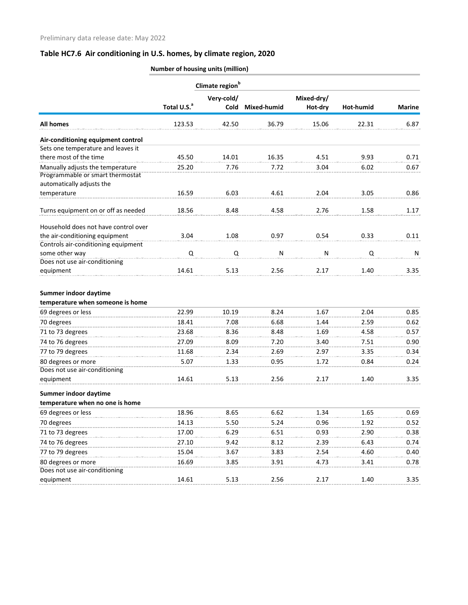|                                                                      | Climate region <sup>b</sup> |             |              |            |           |               |  |  |
|----------------------------------------------------------------------|-----------------------------|-------------|--------------|------------|-----------|---------------|--|--|
|                                                                      |                             | Very-cold/  |              | Mixed-dry/ |           |               |  |  |
|                                                                      | Total U.S. <sup>a</sup>     | <b>Cold</b> | Mixed-humid  | Hot-dry    | Hot-humid | <b>Marine</b> |  |  |
| <b>All homes</b>                                                     | 123.53                      | 42.50       | 36.79        | 15.06      | 22.31     | 6.87          |  |  |
| Air-conditioning equipment control                                   |                             |             |              |            |           |               |  |  |
| Sets one temperature and leaves it                                   |                             |             |              |            |           |               |  |  |
| there most of the time                                               | 45.50                       | 14.01       | 16.35        | 4.51       | 9.93      | 0.71          |  |  |
| Manually adjusts the temperature<br>Programmable or smart thermostat | 25.20                       | 7.76        | 7.72         | 3.04       | 6.02      | 0.67          |  |  |
| automatically adjusts the                                            |                             |             |              |            |           |               |  |  |
| temperature                                                          | 16.59                       | 6.03        | 4.61         | 2.04       | 3.05      | 0.86          |  |  |
| Turns equipment on or off as needed                                  | 18.56                       | 8.48        | 4.58         | 2.76       | 1.58      | 1.17          |  |  |
| Household does not have control over                                 |                             |             |              |            |           |               |  |  |
| the air-conditioning equipment                                       | 3.04                        | 1.08        | 0.97         | 0.54       | 0.33      | 0.11          |  |  |
| Controls air-conditioning equipment                                  |                             |             |              |            |           |               |  |  |
| some other way                                                       | Q                           | Q           | $\mathsf{N}$ | N          | Q         | N             |  |  |
| Does not use air-conditioning                                        |                             |             |              |            |           |               |  |  |
| equipment                                                            | 14.61                       | 5.13        | 2.56         | 2.17       | 1.40      | 3.35          |  |  |
|                                                                      |                             |             |              |            |           |               |  |  |
| Summer indoor daytime                                                |                             |             |              |            |           |               |  |  |
| temperature when someone is home                                     |                             |             |              |            |           |               |  |  |
| 69 degrees or less                                                   | 22.99                       | 10.19       | 8.24         | 1.67       | 2.04      | 0.85          |  |  |
| 70 degrees                                                           | 18.41                       | 7.08        | 6.68         | 1.44       | 2.59      | 0.62          |  |  |
| 71 to 73 degrees                                                     | 23.68                       | 8.36        | 8.48         | 1.69       | 4.58      | 0.57          |  |  |
| 74 to 76 degrees                                                     | 27.09                       | 8.09        | 7.20         | 3.40       | 7.51      | 0.90          |  |  |
| 77 to 79 degrees                                                     | 11.68                       | 2.34        | 2.69         | 2.97       | 3.35      | 0.34          |  |  |
| 80 degrees or more                                                   | 5.07                        | 1.33        | 0.95         | 1.72       | 0.84      | 0.24          |  |  |
| Does not use air-conditioning                                        |                             |             |              |            |           |               |  |  |
| equipment                                                            | 14.61                       | 5.13        | 2.56         | 2.17       | 1.40      | 3.35          |  |  |
| Summer indoor daytime                                                |                             |             |              |            |           |               |  |  |
| temperature when no one is home                                      |                             |             |              |            |           |               |  |  |
| 69 degrees or less                                                   | 18.96                       | 8.65        | 6.62         | 1.34       | 1.65      | 0.69          |  |  |
| 70 degrees                                                           | 14.13                       | 5.50        | 5.24         | 0.96       | 1.92      | 0.52          |  |  |
| 71 to 73 degrees                                                     | 17.00                       | 6.29        | 6.51         | 0.93       | 2.90      | 0.38          |  |  |
| 74 to 76 degrees                                                     | 27.10                       | 9.42        | 8.12         | 2.39       | 6.43      | 0.74          |  |  |
| 77 to 79 degrees                                                     | 15.04                       | 3.67        | 3.83         | 2.54       | 4.60      | 0.40          |  |  |
| 80 degrees or more                                                   | 16.69                       | 3.85        | 3.91         | 4.73       | 3.41      | 0.78          |  |  |
| Does not use air-conditioning                                        |                             |             |              |            |           |               |  |  |
| equipment                                                            | 14.61                       | 5.13        | 2.56         | 2.17       | 1.40      | 3.35          |  |  |
|                                                                      |                             |             |              |            |           |               |  |  |

**Number of housing units (million)**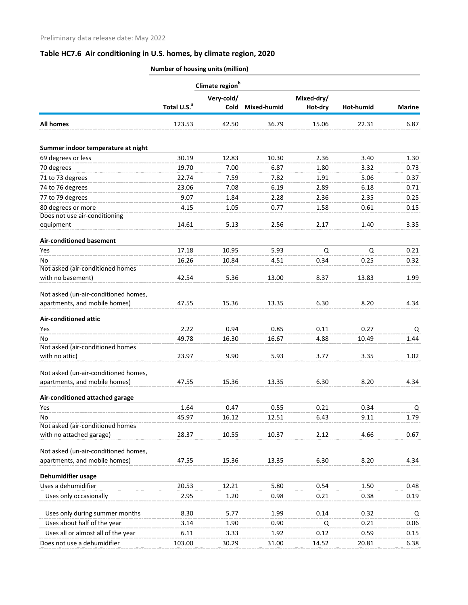|                                            | Number of housing units (million) |                             |             |                       |           |               |
|--------------------------------------------|-----------------------------------|-----------------------------|-------------|-----------------------|-----------|---------------|
|                                            |                                   | Climate region <sup>b</sup> |             |                       |           |               |
|                                            | Total U.S. <sup>a</sup>           | Very-cold/<br>Cold          | Mixed-humid | Mixed-dry/<br>Hot-dry | Hot-humid | <b>Marine</b> |
| <b>All homes</b>                           | 123.53                            | 42.50                       | 36.79       | 15.06                 | 22.31     | 6.87          |
|                                            |                                   |                             |             |                       |           |               |
| Summer indoor temperature at night         |                                   |                             |             |                       |           |               |
| 69 degrees or less                         | 30.19                             | 12.83                       | 10.30       | 2.36                  | 3.40      | 1.30          |
| 70 degrees                                 | 19.70                             | 7.00                        | 6.87        | 1.80                  | 3.32      | 0.73          |
| 71 to 73 degrees                           | 22.74                             | 7.59                        | 7.82        | 1.91                  | 5.06      | 0.37          |
| 74 to 76 degrees                           | 23.06                             | 7.08                        | 6.19        | 2.89                  | 6.18      | 0.71          |
| 77 to 79 degrees                           | 9.07                              | 1.84                        | 2.28        | 2.36                  | 2.35      | 0.25          |
| 80 degrees or more                         | 4.15                              | 1.05                        | 0.77        | 1.58                  | 0.61      | 0.15          |
| Does not use air-conditioning<br>equipment | 14.61                             | 5.13                        | 2.56        | 2.17                  | 1.40      | 3.35          |
| <b>Air-conditioned basement</b>            |                                   |                             |             |                       |           |               |
| Yes                                        | 17.18                             | 10.95                       | 5.93        | $\mathsf Q$           | Q         | 0.21          |
| No                                         | 16.26                             | 10.84                       | 4.51        | 0.34                  | 0.25      | 0.32          |
| Not asked (air-conditioned homes           |                                   |                             |             |                       |           |               |
| with no basement)                          | 42.54                             | 5.36                        | 13.00       | 8.37                  | 13.83     | 1.99          |
| Not asked (un-air-conditioned homes,       |                                   |                             |             |                       |           |               |
| apartments, and mobile homes)              | 47.55                             | 15.36                       | 13.35       | 6.30                  | 8.20      | 4.34          |
| <b>Air-conditioned attic</b>               |                                   |                             |             |                       |           |               |
| Yes                                        | 2.22                              | 0.94                        | 0.85        | 0.11                  | 0.27      | Q             |
| No.                                        | 49.78                             | 16.30                       | 16.67       | 4.88                  | 10.49     | 1.44          |
| Not asked (air-conditioned homes           |                                   |                             |             |                       |           |               |
| with no attic)                             | 23.97                             | 9.90                        | 5.93        | 3.77                  | 3.35      | 1.02          |
| Not asked (un-air-conditioned homes,       |                                   |                             |             |                       |           |               |
| apartments, and mobile homes)              | 47.55                             | 15.36                       | 13.35       | 6.30                  | 8.20      | 4.34          |
| Air-conditioned attached garage            |                                   |                             |             |                       |           |               |
| Yes                                        | 1.64                              | 0.47                        | 0.55        | 0.21                  | 0.34      | Q             |
| No                                         | 45.97                             | 16.12                       | 12.51       | 6.43                  | 9.11      | 1.79          |
| Not asked (air-conditioned homes           |                                   |                             |             |                       |           |               |
| with no attached garage)                   | 28.37                             | 10.55                       | 10.37       | 2.12                  | 4.66      | 0.67          |
| Not asked (un-air-conditioned homes,       |                                   |                             |             |                       |           |               |
| apartments, and mobile homes)              | 47.55                             | 15.36                       | 13.35       | 6.30                  | 8.20      | 4.34          |
| Dehumidifier usage                         |                                   |                             |             |                       |           |               |
| Uses a dehumidifier                        | 20.53                             | 12.21                       | 5.80        | 0.54                  | 1.50      | 0.48          |
| Uses only occasionally                     | 2.95                              | 1.20                        | 0.98        | 0.21                  | 0.38      | 0.19          |
| Uses only during summer months             | 8.30                              | 5.77                        | 1.99        | 0.14                  | 0.32      | Q             |
| Uses about half of the year                | 3.14                              | 1.90                        | 0.90        | Q                     | 0.21      | 0.06          |
| Uses all or almost all of the year         | 6.11                              | 3.33                        | 1.92        | 0.12                  | 0.59      | 0.15          |
| Does not use a dehumidifier                | 103.00                            | 30.29                       | 31.00       | 14.52                 | 20.81     | 6.38          |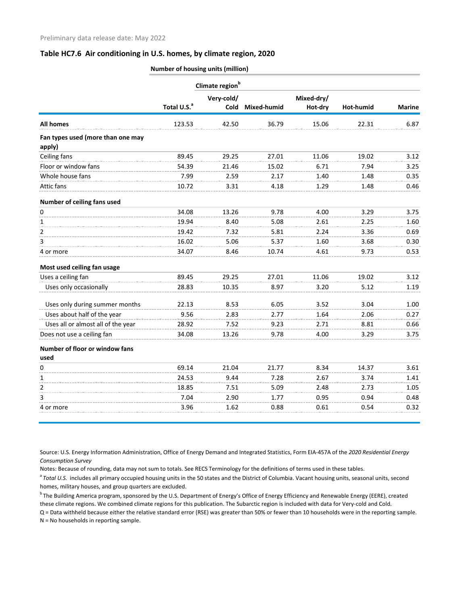|                                             |                         | Climate region <sup>b</sup> |             |            |           |               |
|---------------------------------------------|-------------------------|-----------------------------|-------------|------------|-----------|---------------|
|                                             |                         | Very-cold/                  |             | Mixed-dry/ |           |               |
|                                             | Total U.S. <sup>a</sup> | <b>Cold</b>                 | Mixed-humid | Hot-dry    | Hot-humid | <b>Marine</b> |
| <b>All homes</b>                            | 123.53                  | 42.50                       | 36.79       | 15.06      | 22.31     | 6.87          |
| Fan types used (more than one may<br>apply) |                         |                             |             |            |           |               |
| Ceiling fans                                | 89.45                   | 29.25                       | 27.01       | 11.06      | 19.02     | 3.12          |
| Floor or window fans                        | 54.39                   | 21.46                       | 15.02       | 6.71       | 7.94      | 3.25          |
| Whole house fans                            | 7.99                    | 2.59                        | 2.17        | 1.40       | 1.48      | 0.35          |
| Attic fans                                  | 10.72                   | 3.31                        | 4.18        | 1.29       | 1.48      | 0.46          |
| Number of ceiling fans used                 |                         |                             |             |            |           |               |
| 0                                           | 34.08                   | 13.26                       | 9.78        | 4.00       | 3.29      | 3.75          |
| 1                                           | 19.94                   | 8.40                        | 5.08        | 2.61       | 2.25      | 1.60          |
| $\overline{2}$                              | 19.42                   | 7.32                        | 5.81        | 2.24       | 3.36      | 0.69          |
| 3                                           | 16.02                   | 5.06                        | 5.37        | 1.60       | 3.68      | 0.30          |
| 4 or more                                   | 34.07                   | 8.46                        | 10.74       | 4.61       | 9.73      | 0.53          |
| Most used ceiling fan usage                 |                         |                             |             |            |           |               |
| Uses a ceiling fan                          | 89.45                   | 29.25                       | 27.01       | 11.06      | 19.02     | 3.12          |
| Uses only occasionally                      | 28.83                   | 10.35                       | 8.97        | 3.20       | 5.12      | 1.19          |
| Uses only during summer months              | 22.13                   | 8.53                        | 6.05        | 3.52       | 3.04      | 1.00          |
| Uses about half of the year                 | 9.56                    | 2.83                        | 2.77        | 1.64       | 2.06      | 0.27          |
| Uses all or almost all of the year          | 28.92                   | 7.52                        | 9.23        | 2.71       | 8.81      | 0.66          |
| Does not use a ceiling fan                  | 34.08                   | 13.26                       | 9.78        | 4.00       | 3.29      | 3.75          |
| Number of floor or window fans<br>used      |                         |                             |             |            |           |               |
| 0                                           | 69.14                   | 21.04                       | 21.77       | 8.34       | 14.37     | 3.61          |
| 1                                           | 24.53                   | 9.44                        | 7.28        | 2.67       | 3.74      | 1.41          |
| $\overline{2}$                              | 18.85                   | 7.51                        | 5.09        | 2.48       | 2.73      | 1.05          |
| 3                                           | 7.04                    | 2.90                        | 1.77        | 0.95       | 0.94      | 0.48          |
| 4 or more                                   | 3.96                    | 1.62                        | 0.88        | 0.61       | 0.54      | 0.32          |
|                                             |                         |                             |             |            |           |               |

**Number of housing units (million)**

Source: U.S. Energy Information Administration, Office of Energy Demand and Integrated Statistics, Form EIA-457A of the *2020 Residential Energy Consumption Survey*

Notes: Because of rounding, data may not sum to totals. See RECS Terminology for the definitions of terms used in these tables.

<sup>a</sup> Total U.S. includes all primary occupied housing units in the 50 states and the District of Columbia. Vacant housing units, seasonal units, second homes, military houses, and group quarters are excluded.

<sup>b</sup> The Building America program, sponsored by the U.S. Department of Energy's Office of Energy Efficiency and Renewable Energy (EERE), created these climate regions. We combined climate regions for this publication. The Subarctic region is included with data for Very-cold and Cold.

Q = Data withheld because either the relative standard error (RSE) was greater than 50% or fewer than 10 households were in the reporting sample. N = No households in reporting sample.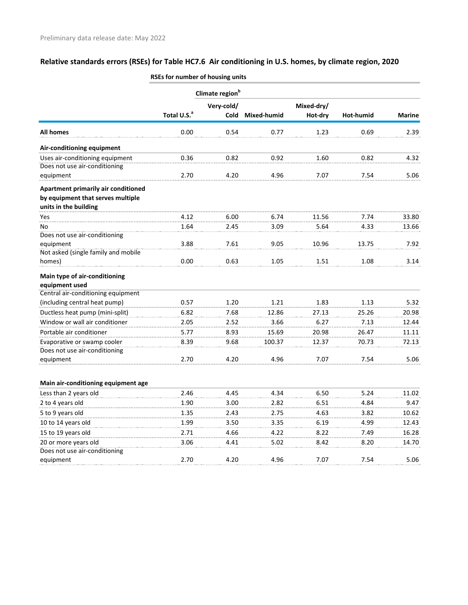|                                     | אוווא, מוניסט וויט וספוווואזו וטו כם כ |            |             |            |           |               |  |
|-------------------------------------|----------------------------------------|------------|-------------|------------|-----------|---------------|--|
|                                     | Climate region <sup>b</sup>            |            |             |            |           |               |  |
|                                     |                                        | Very-cold/ |             | Mixed-dry/ |           |               |  |
|                                     | Total U.S. <sup>a</sup>                | Cold       | Mixed-humid | Hot-dry    | Hot-humid | <b>Marine</b> |  |
| <b>All homes</b>                    | 0.00                                   | 0.54       | 0.77        | 1.23       | 0.69      | 2.39          |  |
| Air-conditioning equipment          |                                        |            |             |            |           |               |  |
| Uses air-conditioning equipment     | 0.36                                   | 0.82       | 0.92        | 1.60       | 0.82      | 4.32          |  |
| Does not use air-conditioning       |                                        |            |             |            |           |               |  |
| equipment                           | 2.70                                   | 4.20       | 4.96        | 7.07       | 7.54      | 5.06          |  |
| Apartment primarily air conditioned |                                        |            |             |            |           |               |  |
| by equipment that serves multiple   |                                        |            |             |            |           |               |  |
| units in the building               |                                        |            |             |            |           |               |  |
| Yes                                 | 4.12                                   | 6.00       | 6.74        | 11.56      | 7.74      | 33.80         |  |
| No                                  | 1.64                                   | 2.45       | 3.09        | 5.64       | 4.33      | 13.66         |  |
| Does not use air-conditioning       |                                        |            |             |            |           |               |  |
| equipment                           | 3.88                                   | 7.61       | 9.05        | 10.96      | 13.75     | 7.92          |  |
| Not asked (single family and mobile |                                        |            |             |            |           |               |  |
| homes)                              | 0.00                                   | 0.63       | 1.05        | 1.51       | 1.08      | 3.14          |  |
| Main type of air-conditioning       |                                        |            |             |            |           |               |  |
| equipment used                      |                                        |            |             |            |           |               |  |
| Central air-conditioning equipment  |                                        |            |             |            |           |               |  |
| (including central heat pump)       | 0.57                                   | 1.20       | 1.21        | 1.83       | 1.13      | 5.32          |  |
| Ductless heat pump (mini-split)     | 6.82                                   | 7.68       | 12.86       | 27.13      | 25.26     | 20.98         |  |
| Window or wall air conditioner      | 2.05                                   | 2.52       | 3.66        | 6.27       | 7.13      | 12.44         |  |
| Portable air conditioner            | 5.77                                   | 8.93       | 15.69       | 20.98      | 26.47     | 11.11         |  |
| Evaporative or swamp cooler         | 8.39                                   | 9.68       | 100.37      | 12.37      | 70.73     | 72.13         |  |
| Does not use air-conditioning       |                                        |            |             |            |           |               |  |
| equipment                           | 2.70                                   | 4.20       | 4.96        | 7.07       | 7.54      | 5.06          |  |
|                                     |                                        |            |             |            |           |               |  |
| Main air-conditioning equipment age |                                        |            |             |            |           |               |  |
| Less than 2 years old               | 2.46                                   | 4.45       | 4.34        | 6.50       | 5.24      | 11.02         |  |
| 2 to 4 years old                    | 1.90                                   | 3.00       | 2.82        | 6.51       | 4.84      | 9.47          |  |
| 5 to 9 years old                    | 1.35                                   | 2.43       | 2.75        | 4.63       | 3.82      | 10.62         |  |
| 10 to 14 years old                  | 1.99                                   | 3.50       | 3.35        | 6.19       | 4.99      | 12.43         |  |
| 15 to 19 years old                  | 2.71                                   | 4.66       | 4.22        | 8.22       | 7.49      | 16.28         |  |
| 20 or more years old                | 3.06                                   | 4.41       | 5.02        | 8.42       | 8.20      | 14.70         |  |
| Does not use air-conditioning       |                                        |            |             |            |           |               |  |
| equipment                           | 2.70                                   | 4.20       | 4.96        | 7.07       | 7.54      | 5.06          |  |
|                                     |                                        |            |             |            |           |               |  |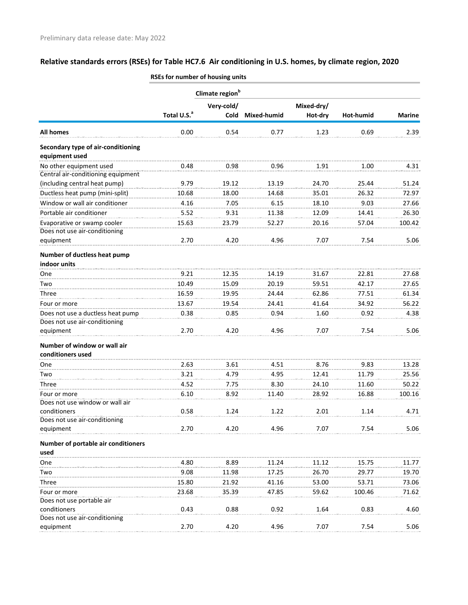|                                             | Climate region <sup>b</sup> |             |             |            |           |               |  |  |
|---------------------------------------------|-----------------------------|-------------|-------------|------------|-----------|---------------|--|--|
|                                             |                             | Very-cold/  |             | Mixed-dry/ |           |               |  |  |
|                                             | Total U.S. <sup>a</sup>     | <b>Cold</b> | Mixed-humid | Hot-dry    | Hot-humid | <b>Marine</b> |  |  |
| <b>All homes</b>                            | 0.00                        | 0.54        | 0.77        | 1.23       | 0.69      | 2.39          |  |  |
| Secondary type of air-conditioning          |                             |             |             |            |           |               |  |  |
| equipment used                              |                             |             |             |            |           |               |  |  |
| No other equipment used                     | 0.48                        | 0.98        | 0.96        | 1.91       | 1.00      | 4.31          |  |  |
| Central air-conditioning equipment          |                             |             |             |            |           |               |  |  |
| (including central heat pump)               | 9.79                        | 19.12       | 13.19       | 24.70      | 25.44     | 51.24         |  |  |
| Ductless heat pump (mini-split)             | 10.68                       | 18.00       | 14.68       | 35.01      | 26.32     | 72.97         |  |  |
| Window or wall air conditioner              | 4.16                        | 7.05        | 6.15        | 18.10      | 9.03      | 27.66         |  |  |
| Portable air conditioner                    | 5.52                        | 9.31        | 11.38       | 12.09      | 14.41     | 26.30         |  |  |
| Evaporative or swamp cooler                 | 15.63                       | 23.79       | 52.27       | 20.16      | 57.04     | 100.42        |  |  |
| Does not use air-conditioning               |                             |             |             |            |           |               |  |  |
| equipment                                   | 2.70                        | 4.20        | 4.96        | 7.07       | 7.54      | 5.06          |  |  |
| Number of ductless heat pump                |                             |             |             |            |           |               |  |  |
| indoor units                                |                             |             |             |            |           |               |  |  |
| One                                         | 9.21                        | 12.35       | 14.19       | 31.67      | 22.81     | 27.68         |  |  |
| Two                                         | 10.49                       | 15.09       | 20.19       | 59.51      | 42.17     | 27.65         |  |  |
| Three                                       | 16.59                       | 19.95       | 24.44       | 62.86      | 77.51     | 61.34         |  |  |
| Four or more                                | 13.67                       | 19.54       | 24.41       | 41.64      | 34.92     | 56.22         |  |  |
| Does not use a ductless heat pump           | 0.38                        | 0.85        | 0.94        | 1.60       | 0.92      | 4.38          |  |  |
| Does not use air-conditioning               |                             |             |             |            |           |               |  |  |
| equipment                                   | 2.70                        | 4.20        | 4.96        | 7.07       | 7.54      | 5.06          |  |  |
| Number of window or wall air                |                             |             |             |            |           |               |  |  |
| conditioners used                           |                             |             |             |            |           |               |  |  |
| One                                         | 2.63                        | 3.61        | 4.51        | 8.76       | 9.83      | 13.28         |  |  |
| Two                                         | 3.21                        | 4.79        | 4.95        | 12.41      | 11.79     | 25.56         |  |  |
| Three                                       | 4.52                        | 7.75        | 8.30        | 24.10      | 11.60     | 50.22         |  |  |
| Four or more                                | 6.10                        | 8.92        | 11.40       | 28.92      | 16.88     | 100.16        |  |  |
| Does not use window or wall air             |                             |             |             |            |           |               |  |  |
| conditioners                                | 0.58                        | 1.24        | 1.22        | 2.01       | 1.14      | 4.71          |  |  |
| Does not use air-conditioning               | 2.70                        | 4.20        | 4.96        | 7.07       | 7.54      | 5.06          |  |  |
| equipment                                   |                             |             |             |            |           |               |  |  |
| Number of portable air conditioners<br>used |                             |             |             |            |           |               |  |  |
| One                                         | 4.80                        | 8.89        | 11.24       | 11.12      | 15.75     | 11.77         |  |  |
| Two                                         | 9.08                        | 11.98       | 17.25       | 26.70      | 29.77     | 19.70         |  |  |
| Three                                       | 15.80                       | 21.92       | 41.16       | 53.00      | 53.71     | 73.06         |  |  |
|                                             |                             |             |             |            |           |               |  |  |
| Four or more<br>Does not use portable air   | 23.68                       | 35.39       | 47.85       | 59.62      | 100.46    | 71.62         |  |  |
| conditioners                                | 0.43                        | 0.88        | 0.92        | 1.64       | 0.83      | 4.60          |  |  |
| Does not use air-conditioning               |                             |             |             |            |           |               |  |  |
| equipment                                   | 2.70                        | 4.20        | 4.96        | 7.07       | 7.54      | 5.06          |  |  |
|                                             |                             |             |             |            |           |               |  |  |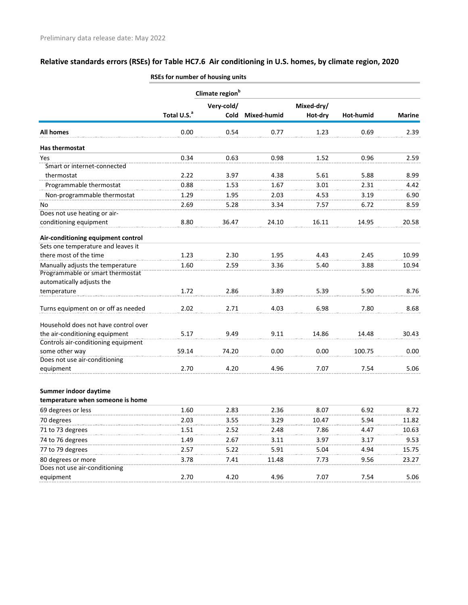|                                                                      |                         | Climate region <sup>b</sup> |             |            |           |               |
|----------------------------------------------------------------------|-------------------------|-----------------------------|-------------|------------|-----------|---------------|
|                                                                      |                         | Very-cold/                  |             | Mixed-dry/ |           |               |
|                                                                      | Total U.S. <sup>a</sup> | Cold                        | Mixed-humid | Hot-dry    | Hot-humid | <b>Marine</b> |
| <b>All homes</b>                                                     | 0.00                    | 0.54                        | 0.77        | 1.23       | 0.69      | 2.39          |
| Has thermostat                                                       |                         |                             |             |            |           |               |
| Yes                                                                  | 0.34                    | 0.63                        | 0.98        | 1.52       | 0.96      | 2.59          |
| Smart or internet-connected                                          |                         |                             |             |            |           |               |
| thermostat                                                           | 2.22                    | 3.97                        | 4.38        | 5.61       | 5.88      | 8.99          |
| Programmable thermostat                                              | 0.88                    | 1.53                        | 1.67        | 3.01       | 2.31      | 4.42          |
| Non-programmable thermostat                                          | 1.29                    | 1.95                        | 2.03        | 4.53       | 3.19      | 6.90          |
| No                                                                   | 2.69                    | 5.28                        | 3.34        | 7.57       | 6.72      | 8.59          |
| Does not use heating or air-                                         |                         |                             |             |            |           |               |
| conditioning equipment                                               | 8.80                    | 36.47                       | 24.10       | 16.11      | 14.95     | 20.58         |
| Air-conditioning equipment control                                   |                         |                             |             |            |           |               |
| Sets one temperature and leaves it                                   |                         |                             |             |            |           |               |
| there most of the time                                               | 1.23                    | 2.30                        | 1.95        | 4.43       | 2.45      | 10.99         |
| Manually adjusts the temperature<br>Programmable or smart thermostat | 1.60                    | 2.59                        | 3.36        | 5.40       | 3.88      | 10.94         |
| automatically adjusts the                                            |                         |                             |             |            |           |               |
| temperature                                                          | 1.72                    | 2.86                        | 3.89        | 5.39       | 5.90      | 8.76          |
| Turns equipment on or off as needed                                  | 2.02                    | 2.71                        | 4.03        | 6.98       | 7.80      | 8.68          |
| Household does not have control over                                 |                         |                             |             |            |           |               |
| the air-conditioning equipment                                       | 5.17                    | 9.49                        | 9.11        | 14.86      | 14.48     | 30.43         |
| Controls air-conditioning equipment                                  |                         |                             |             |            |           |               |
| some other way                                                       | 59.14                   | 74.20                       | 0.00        | 0.00       | 100.75    | 0.00          |
| Does not use air-conditioning                                        |                         |                             |             |            |           |               |
| equipment                                                            | 2.70                    | 4.20                        | 4.96        | 7.07       | 7.54      | 5.06          |
| Summer indoor daytime                                                |                         |                             |             |            |           |               |
| temperature when someone is home                                     |                         |                             |             |            |           |               |
| 69 degrees or less                                                   | 1.60                    | 2.83                        | 2.36        | 8.07       | 6.92      | 8.72          |
| 70 degrees                                                           | 2.03                    | 3.55                        | 3.29        | 10.47      | 5.94      | 11.82         |
| 71 to 73 degrees                                                     | 1.51                    | 2.52                        | 2.48        | 7.86       | 4.47      | 10.63         |
| 74 to 76 degrees                                                     | 1.49                    | 2.67                        | 3.11        | 3.97       | 3.17      | 9.53          |
| 77 to 79 degrees                                                     | 2.57                    | 5.22                        | 5.91        | 5.04       | 4.94      | 15.75         |
| 80 degrees or more                                                   | 3.78                    | 7.41                        | 11.48       | 7.73       | 9.56      | 23.27         |
| Does not use air-conditioning                                        |                         |                             |             |            |           |               |
| equipment                                                            | 2.70                    | 4.20                        | 4.96        | 7.07       | 7.54      | 5.06          |
|                                                                      |                         |                             |             |            |           |               |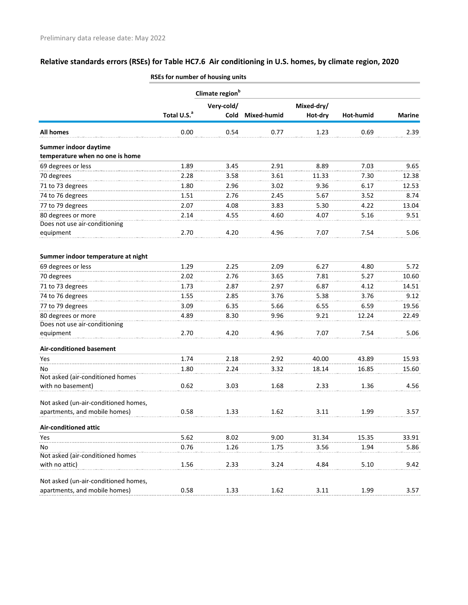|                                                    |                         | Climate region <sup>b</sup> |                  |            |           |               |  |
|----------------------------------------------------|-------------------------|-----------------------------|------------------|------------|-----------|---------------|--|
|                                                    |                         | Very-cold/                  |                  | Mixed-dry/ |           |               |  |
|                                                    | Total U.S. <sup>a</sup> |                             | Cold Mixed-humid | Hot-dry    | Hot-humid | <b>Marine</b> |  |
| <b>All homes</b>                                   | 0.00                    | 0.54                        | 0.77             | 1.23       | 0.69      | 2.39          |  |
| Summer indoor daytime                              |                         |                             |                  |            |           |               |  |
| temperature when no one is home                    |                         |                             |                  |            |           |               |  |
| 69 degrees or less                                 | 1.89                    | 3.45                        | 2.91             | 8.89       | 7.03      | 9.65          |  |
| 70 degrees                                         | 2.28                    | 3.58                        | 3.61             | 11.33      | 7.30      | 12.38         |  |
| 71 to 73 degrees                                   | 1.80                    | 2.96                        | 3.02             | 9.36       | 6.17      | 12.53         |  |
| 74 to 76 degrees                                   | 1.51                    | 2.76                        | 2.45             | 5.67       | 3.52      | 8.74          |  |
| 77 to 79 degrees                                   | 2.07                    | 4.08                        | 3.83             | 5.30       | 4.22      | 13.04         |  |
| 80 degrees or more                                 | 2.14                    | 4.55                        | 4.60             | 4.07       | 5.16      | 9.51          |  |
| Does not use air-conditioning                      |                         |                             |                  |            |           |               |  |
| equipment                                          | 2.70                    | 4.20                        | 4.96             | 7.07       | 7.54      | 5.06          |  |
| Summer indoor temperature at night                 |                         |                             |                  |            |           |               |  |
| 69 degrees or less                                 | 1.29                    | 2.25                        | 2.09             | 6.27       | 4.80      | 5.72          |  |
| 70 degrees                                         | 2.02                    | 2.76                        | 3.65             | 7.81       | 5.27      | 10.60         |  |
| 71 to 73 degrees                                   | 1.73                    | 2.87                        | 2.97             | 6.87       | 4.12      | 14.51         |  |
| 74 to 76 degrees                                   | 1.55                    | 2.85                        | 3.76             | 5.38       | 3.76      | 9.12          |  |
| 77 to 79 degrees                                   | 3.09                    | 6.35                        | 5.66             | 6.55       | 6.59      | 19.56         |  |
| 80 degrees or more                                 | 4.89                    | 8.30                        | 9.96             | 9.21       | 12.24     | 22.49         |  |
| Does not use air-conditioning                      |                         |                             |                  |            |           |               |  |
| equipment                                          | 2.70                    | 4.20                        | 4.96             | 7.07       | 7.54      | 5.06          |  |
| <b>Air-conditioned basement</b>                    |                         |                             |                  |            |           |               |  |
| Yes                                                | 1.74                    | 2.18                        | 2.92             | 40.00      | 43.89     | 15.93         |  |
| No                                                 | 1.80                    | 2.24                        | 3.32             | 18.14      | 16.85     | 15.60         |  |
| Not asked (air-conditioned homes                   |                         |                             |                  |            |           |               |  |
| with no basement)                                  | 0.62                    | 3.03                        | 1.68             | 2.33       | 1.36      | 4.56          |  |
| Not asked (un-air-conditioned homes,               |                         |                             |                  |            |           |               |  |
| apartments, and mobile homes)                      | 0.58                    | 1.33                        | 1.62             | 3.11       | 1.99      | 3.57          |  |
|                                                    |                         |                             |                  |            |           |               |  |
| <b>Air-conditioned attic</b>                       |                         |                             |                  |            |           |               |  |
| Yes                                                | 5.62                    | 8.02                        | 9.00             | 31.34      | 15.35     | 33.91         |  |
| No                                                 | 0.76                    | 1.26                        | 1.75             | 3.56       | 1.94      | 5.86          |  |
| Not asked (air-conditioned homes<br>with no attic) | 1.56                    | 2.33                        | 3.24             | 4.84       | 5.10      | 9.42          |  |
|                                                    |                         |                             |                  |            |           |               |  |
| Not asked (un-air-conditioned homes,               |                         |                             |                  |            |           |               |  |
| apartments, and mobile homes)                      | 0.58                    | 1.33                        | 1.62             | 3.11       | 1.99      | 3.57          |  |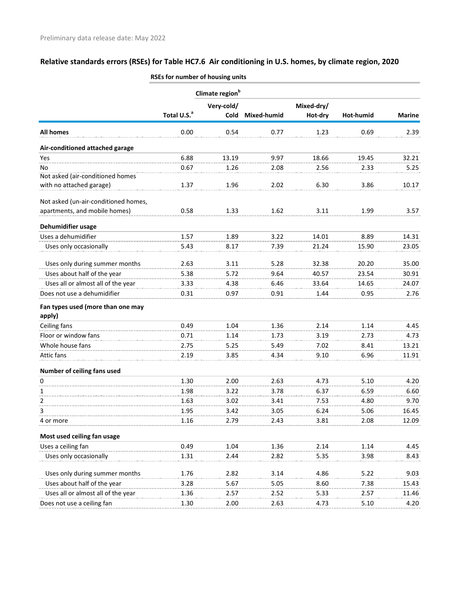|                                             |                         | Climate region <sup>b</sup> |             |                       |           |               |
|---------------------------------------------|-------------------------|-----------------------------|-------------|-----------------------|-----------|---------------|
|                                             | Total U.S. <sup>a</sup> | Very-cold/<br>Cold          | Mixed-humid | Mixed-dry/<br>Hot-dry | Hot-humid | <b>Marine</b> |
| All homes                                   | 0.00                    | 0.54                        | 0.77        | 1.23                  | 0.69      | 2.39          |
| Air-conditioned attached garage             |                         |                             |             |                       |           |               |
| Yes                                         | 6.88                    | 13.19                       | 9.97        | 18.66                 | 19.45     | 32.21         |
| No<br>Not asked (air-conditioned homes      | 0.67                    | 1.26                        | 2.08        | 2.56                  | 2.33      | 5.25          |
| with no attached garage)                    | 1.37                    | 1.96                        | 2.02        | 6.30                  | 3.86      | 10.17         |
| Not asked (un-air-conditioned homes,        |                         |                             |             |                       |           |               |
| apartments, and mobile homes)               | 0.58                    | 1.33                        | 1.62        | 3.11                  | 1.99      | 3.57          |
| Dehumidifier usage                          |                         |                             |             |                       |           |               |
| Uses a dehumidifier                         | 1.57                    | 1.89                        | 3.22        | 14.01                 | 8.89      | 14.31         |
| Uses only occasionally                      | 5.43                    | 8.17                        | 7.39        | 21.24                 | 15.90     | 23.05         |
| Uses only during summer months              | 2.63                    | 3.11                        | 5.28        | 32.38                 | 20.20     | 35.00         |
| Uses about half of the year                 | 5.38                    | 5.72                        | 9.64        | 40.57                 | 23.54     | 30.91         |
| Uses all or almost all of the year          | 3.33                    | 4.38                        | 6.46        | 33.64                 | 14.65     | 24.07         |
| Does not use a dehumidifier                 | 0.31                    | 0.97                        | 0.91        | 1.44                  | 0.95      | 2.76          |
| Fan types used (more than one may<br>apply) |                         |                             |             |                       |           |               |
| Ceiling fans                                | 0.49                    | 1.04                        | 1.36        | 2.14                  | 1.14      | 4.45          |
| Floor or window fans                        | 0.71                    | 1.14                        | 1.73        | 3.19                  | 2.73      | 4.73          |
| Whole house fans                            | 2.75                    | 5.25                        | 5.49        | 7.02                  | 8.41      | 13.21         |
| Attic fans                                  | 2.19                    | 3.85                        | 4.34        | 9.10                  | 6.96      | 11.91         |
| Number of ceiling fans used                 |                         |                             |             |                       |           |               |
| 0                                           | 1.30                    | 2.00                        | 2.63        | 4.73                  | 5.10      | 4.20          |
| 1                                           | 1.98                    | 3.22                        | 3.78        | 6.37                  | 6.59      | 6.60          |
| 2                                           | 1.63                    | 3.02                        | 3.41        | 7.53                  | 4.80      | 9.70          |
| 3                                           | 1.95                    | 3.42                        | 3.05        | 6.24                  | 5.06      | 16.45         |
| 4 or more                                   | 1.16                    | 2.79                        | 2.43        | 3.81                  | 2.08      | 12.09         |
| Most used ceiling fan usage                 |                         |                             |             |                       |           |               |
| Uses a ceiling fan                          | 0.49                    | 1.04                        | 1.36        | 2.14                  | 1.14      | 4.45          |
| Uses only occasionally                      | 1.31                    | 2.44                        | 2.82        | 5.35                  | 3.98      | 8.43          |
| Uses only during summer months              | 1.76                    | 2.82                        | 3.14        | 4.86                  | 5.22      | 9.03          |
| Uses about half of the year                 | 3.28                    | 5.67                        | 5.05        | 8.60                  | 7.38      | 15.43         |
| Uses all or almost all of the year          | 1.36                    | 2.57                        | 2.52        | 5.33                  | 2.57      | 11.46         |
| Does not use a ceiling fan                  | 1.30                    | 2.00                        | 2.63        | 4.73                  | 5.10      | 4.20          |